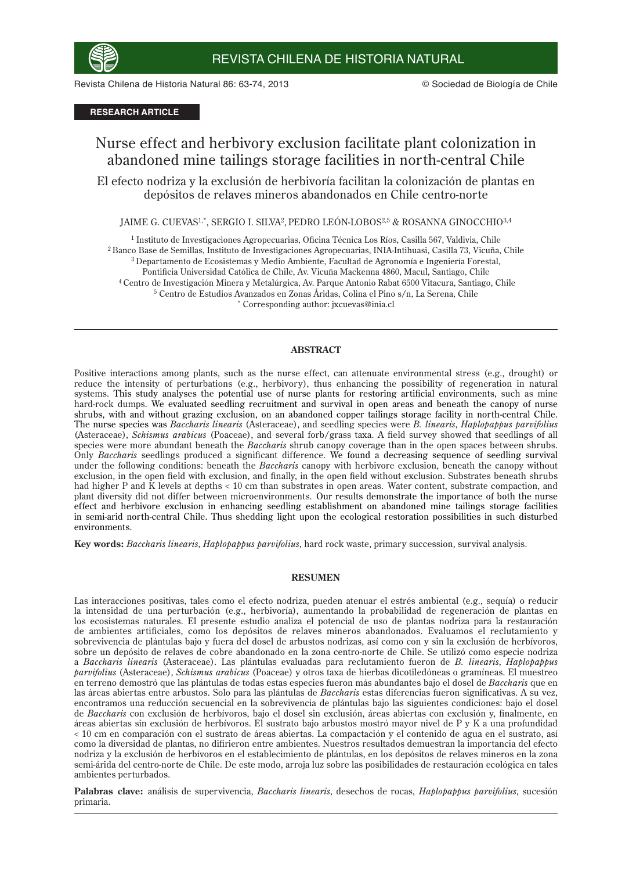

Revista Chilena de Historia Natural 86: 63-74, 2013 © Sociedad de Biología de Chile

**RESEARCH ARTICLE**

# Nurse effect and herbivory exclusion facilitate plant colonization in abandoned mine tailings storage facilities in north-central Chile

El efecto nodriza y la exclusión de herbivoría facilitan la colonización de plantas en depósitos de relaves mineros abandonados en Chile centro-norte

JAIME G. CUEVAS<sup>1,\*</sup>, SERGIO I. SILVA<sup>2</sup>. PEDRO LEÓN-LOBOS<sup>2,5</sup> & ROSANNA GINOCCHIO<sup>3,4</sup>

<sup>1</sup> Instituto de Investigaciones Agropecuarias, Oficina Técnica Los Ríos, Casilla 567, Valdivia, Chile 2 Banco Base de Semillas, Instituto de Investigaciones Agropecuarias, INIA-Intihuasi, Casilla 73, Vicuña, Chile 3 Departamento de Ecosistemas y Medio Ambiente, Facultad de Agronomía e Ingeniería Forestal, Pontificia Universidad Católica de Chile, Av. Vicuña Mackenna 4860, Macul, Santiago, Chile 4 Centro de Investigación Minera y Metalúrgica, Av. Parque Antonio Rabat 6500 Vitacura, Santiago, Chile 5 Centro de Estudios Avanzados en Zonas Áridas, Colina el Pino s/n, La Serena, Chile

\* Corresponding author: jxcuevas@inia.cl

### **ABSTRACT**

Positive interactions among plants, such as the nurse effect, can attenuate environmental stress (e.g., drought) or reduce the intensity of perturbations (e.g., herbivory), thus enhancing the possibility of regeneration in natural systems. This study analyses the potential use of nurse plants for restoring artificial environments, such as mine hard-rock dumps. We evaluated seedling recruitment and survival in open areas and beneath the canopy of nurse shrubs, with and without grazing exclusion, on an abandoned copper tailings storage facility in north-central Chile. The nurse species was *Baccharis linearis* (Asteraceae), and seedling species were *B. linearis*, *Haplopappus parvifolius*  (Asteraceae), *Schismus arabicus* (Poaceae), and several forb/grass taxa. A field survey showed that seedlings of all species were more abundant beneath the *Baccharis* shrub canopy coverage than in the open spaces between shrubs. Only *Baccharis* seedlings produced a significant difference. We found a decreasing sequence of seedling survival under the following conditions: beneath the *Baccharis* canopy with herbivore exclusion, beneath the canopy without exclusion, in the open field with exclusion, and finally, in the open field without exclusion. Substrates beneath shrubs had higher P and K levels at depths < 10 cm than substrates in open areas. Water content, substrate compaction, and plant diversity did not differ between microenvironments. Our results demonstrate the importance of both the nurse effect and herbivore exclusion in enhancing seedling establishment on abandoned mine tailings storage facilities in semi-arid north-central Chile. Thus shedding light upon the ecological restoration possibilities in such disturbed environments.

**Key words:** *Baccharis linearis*, *Haplopappus parvifolius*, hard rock waste, primary succession, survival analysis.

### **RESUMEN**

Las interacciones positivas, tales como el efecto nodriza, pueden atenuar el estrés ambiental (e.g., sequía) o reducir la intensidad de una perturbación (e.g., herbivoría), aumentando la probabilidad de regeneración de plantas en los ecosistemas naturales. El presente estudio analiza el potencial de uso de plantas nodriza para la restauración de ambientes artificiales, como los depósitos de relaves mineros abandonados. Evaluamos el reclutamiento y sobrevivencia de plántulas bajo y fuera del dosel de arbustos nodrizas, así como con y sin la exclusión de herbívoros, sobre un depósito de relaves de cobre abandonado en la zona centro-norte de Chile. Se utilizó como especie nodriza a *Baccharis linearis* (Asteraceae). Las plántulas evaluadas para reclutamiento fueron de *B. linearis*, *Haplopappus parvifolius* (Asteraceae), *Schismus arabicus* (Poaceae) y otros taxa de hierbas dicotiledóneas o gramíneas. El muestreo en terreno demostró que las plántulas de todas estas especies fueron más abundantes bajo el dosel de *Baccharis* que en las áreas abiertas entre arbustos. Solo para las plántulas de *Baccharis* estas diferencias fueron significativas. A su vez, encontramos una reducción secuencial en la sobrevivencia de plántulas bajo las siguientes condiciones: bajo el dosel de *Baccharis* con exclusión de herbívoros, bajo el dosel sin exclusión, áreas abiertas con exclusión y, finalmente, en áreas abiertas sin exclusión de herbívoros. El sustrato bajo arbustos mostró mayor nivel de P y K a una profundidad < 10 cm en comparación con el sustrato de áreas abiertas. La compactación y el contenido de agua en el sustrato, así como la diversidad de plantas, no difirieron entre ambientes. Nuestros resultados demuestran la importancia del efecto nodriza y la exclusión de herbívoros en el establecimiento de plántulas, en los depósitos de relaves mineros en la zona semi-árida del centro-norte de Chile. De este modo, arroja luz sobre las posibilidades de restauración ecológica en tales ambientes perturbados.

**Palabras clave:** análisis de supervivencia, *Baccharis linearis*, desechos de rocas, *Haplopappus parvifolius*, sucesión primaria.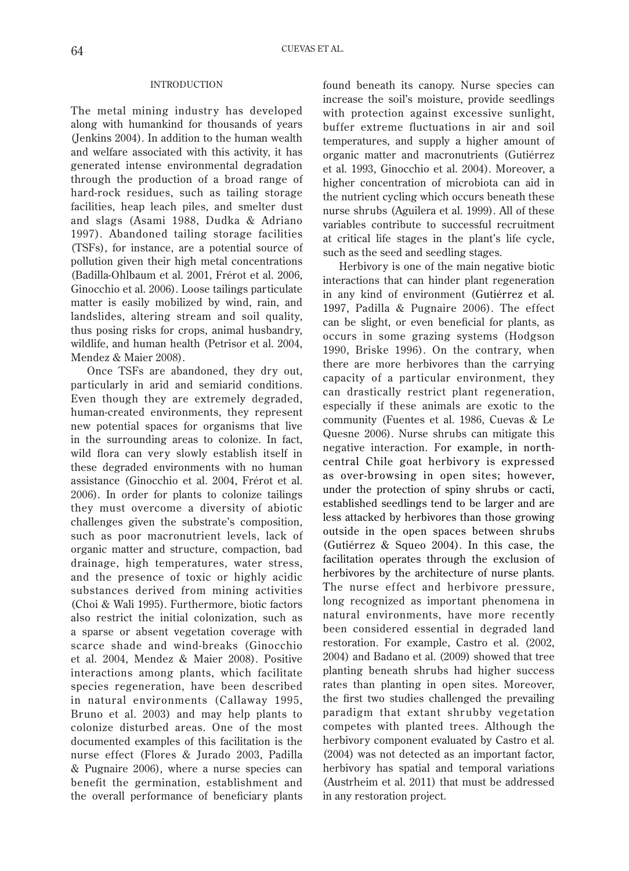# INTRODUCTION

The metal mining industry has developed along with humankind for thousands of years (Jenkins 2004). In addition to the human wealth and welfare associated with this activity, it has generated intense environmental degradation through the production of a broad range of hard-rock residues, such as tailing storage facilities, heap leach piles, and smelter dust and slags (Asami 1988, Dudka & Adriano 1997). Abandoned tailing storage facilities (TSFs), for instance, are a potential source of pollution given their high metal concentrations (Badilla-Ohlbaum et al. 2001, Frérot et al. 2006, Ginocchio et al. 2006). Loose tailings particulate matter is easily mobilized by wind, rain, and landslides, altering stream and soil quality, thus posing risks for crops, animal husbandry, wildlife, and human health (Petrisor et al. 2004, Mendez & Maier 2008).

Once TSFs are abandoned, they dry out, particularly in arid and semiarid conditions. Even though they are extremely degraded, human-created environments, they represent new potential spaces for organisms that live in the surrounding areas to colonize. In fact, wild flora can very slowly establish itself in these degraded environments with no human assistance (Ginocchio et al. 2004, Frérot et al. 2006). In order for plants to colonize tailings they must overcome a diversity of abiotic challenges given the substrate's composition, such as poor macronutrient levels, lack of organic matter and structure, compaction, bad drainage, high temperatures, water stress, and the presence of toxic or highly acidic substances derived from mining activities (Choi & Wali 1995). Furthermore, biotic factors also restrict the initial colonization, such as a sparse or absent vegetation coverage with scarce shade and wind-breaks (Ginocchio et al. 2004, Mendez & Maier 2008). Positive interactions among plants, which facilitate species regeneration, have been described in natural environments (Callaway 1995, Bruno et al. 2003) and may help plants to colonize disturbed areas. One of the most documented examples of this facilitation is the nurse effect (Flores & Jurado 2003, Padilla & Pugnaire 2006), where a nurse species can benefit the germination, establishment and the overall performance of beneficiary plants found beneath its canopy. Nurse species can increase the soil's moisture, provide seedlings with protection against excessive sunlight, buffer extreme fluctuations in air and soil temperatures, and supply a higher amount of organic matter and macronutrients (Gutiérrez et al. 1993, Ginocchio et al. 2004). Moreover, a higher concentration of microbiota can aid in the nutrient cycling which occurs beneath these nurse shrubs (Aguilera et al. 1999). All of these variables contribute to successful recruitment at critical life stages in the plant's life cycle, such as the seed and seedling stages.

Herbivory is one of the main negative biotic interactions that can hinder plant regeneration in any kind of environment (Gutiérrez et al. 1997, Padilla & Pugnaire 2006). The effect can be slight, or even beneficial for plants, as occurs in some grazing systems (Hodgson 1990, Briske 1996). On the contrary, when there are more herbivores than the carrying capacity of a particular environment, they can drastically restrict plant regeneration, especially if these animals are exotic to the community (Fuentes et al. 1986, Cuevas & Le Quesne 2006). Nurse shrubs can mitigate this negative interaction. For example, in northcentral Chile goat herbivory is expressed as over-browsing in open sites; however, under the protection of spiny shrubs or cacti, established seedlings tend to be larger and are less attacked by herbivores than those growing outside in the open spaces between shrubs (Gutiérrez & Squeo 2004). In this case, the facilitation operates through the exclusion of herbivores by the architecture of nurse plants. The nurse effect and herbivore pressure, long recognized as important phenomena in natural environments, have more recently been considered essential in degraded land restoration. For example, Castro et al. (2002, 2004) and Badano et al. (2009) showed that tree planting beneath shrubs had higher success rates than planting in open sites. Moreover, the first two studies challenged the prevailing paradigm that extant shrubby vegetation competes with planted trees. Although the herbivory component evaluated by Castro et al. (2004) was not detected as an important factor, herbivory has spatial and temporal variations (Austrheim et al. 2011) that must be addressed in any restoration project.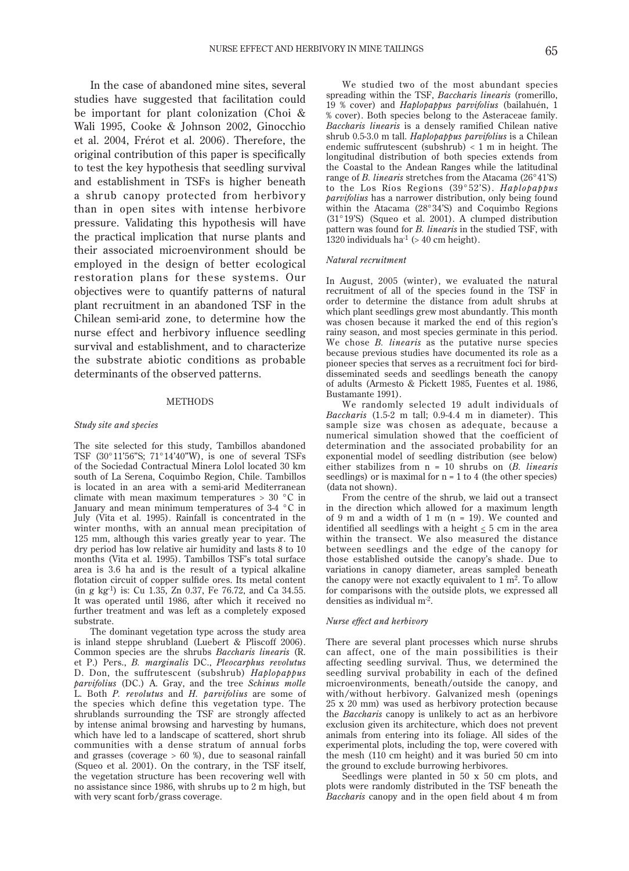In the case of abandoned mine sites, several studies have suggested that facilitation could be important for plant colonization (Choi & Wali 1995, Cooke & Johnson 2002, Ginocchio et al. 2004, Frérot et al. 2006). Therefore, the original contribution of this paper is specifically to test the key hypothesis that seedling survival and establishment in TSFs is higher beneath a shrub canopy protected from herbivory than in open sites with intense herbivore pressure. Validating this hypothesis will have the practical implication that nurse plants and their associated microenvironment should be employed in the design of better ecological restoration plans for these systems. Our objectives were to quantify patterns of natural plant recruitment in an abandoned TSF in the Chilean semi-arid zone, to determine how the nurse effect and herbivory influence seedling survival and establishment, and to characterize the substrate abiotic conditions as probable determinants of the observed patterns.

#### **METHODS**

### *Study site and species*

The site selected for this study, Tambillos abandoned TSF (30°11'56"S; 71°14'40"W), is one of several TSFs of the Sociedad Contractual Minera Lolol located 30 km south of La Serena, Coquimbo Region, Chile. Tambillos is located in an area with a semi-arid Mediterranean climate with mean maximum temperatures > 30 °C in January and mean minimum temperatures of 3-4 °C in July (Vita et al. 1995). Rainfall is concentrated in the winter months, with an annual mean precipitation of 125 mm, although this varies greatly year to year. The dry period has low relative air humidity and lasts 8 to 10 months (Vita et al. 1995). Tambillos TSF's total surface area is 3.6 ha and is the result of a typical alkaline flotation circuit of copper sulfide ores. Its metal content (in g kg-1) is: Cu 1.35, Zn 0.37, Fe 76.72, and Ca 34.55. It was operated until 1986, after which it received no further treatment and was left as a completely exposed substrate.

The dominant vegetation type across the study area is inland steppe shrubland (Luebert & Pliscoff 2006). Common species are the shrubs *Baccharis linearis* (R. et P.) Pers., *B. marginalis* DC., *Pleocarphus revolutus* D. Don, the suffrutescent (subshrub) *Haplopappus parvifolius* (DC.) A. Gray, and the tree *Schinus molle* L. Both *P. revolutus* and *H. parvifolius* are some of the species which define this vegetation type. The shrublands surrounding the TSF are strongly affected by intense animal browsing and harvesting by humans, which have led to a landscape of scattered, short shrub communities with a dense stratum of annual forbs and grasses (coverage  $> 60$  %), due to seasonal rainfall (Squeo et al. 2001). On the contrary, in the TSF itself, the vegetation structure has been recovering well with no assistance since 1986, with shrubs up to 2 m high, but with very scant forb/grass coverage.

We studied two of the most abundant species spreading within the TSF, *Baccharis linearis* (romerillo, 19 % cover) and *Haplopappus parvifolius* (bailahuén, 1 % cover). Both species belong to the Asteraceae family. *Baccharis linearis* is a densely ramified Chilean native shrub 0.5-3.0 m tall. *Haplopappus parvifolius* is a Chilean endemic suffrutescent (subshrub) < 1 m in height. The longitudinal distribution of both species extends from the Coastal to the Andean Ranges while the latitudinal range of *B. linearis* stretches from the Atacama (26°41'S) to the Los Ríos Regions (39°52'S). *Haplopappus parvifolius* has a narrower distribution, only being found within the Atacama (28°34'S) and Coquimbo Regions (31°19'S) (Squeo et al. 2001). A clumped distribution pattern was found for *B. linearis* in the studied TSF, with 1320 individuals ha<sup>-1</sup> ( $>$  40 cm height).

### *Natural recruitment*

In August, 2005 (winter), we evaluated the natural recruitment of all of the species found in the TSF in order to determine the distance from adult shrubs at which plant seedlings grew most abundantly. This month was chosen because it marked the end of this region's rainy season, and most species germinate in this period. We chose *B. linearis* as the putative nurse species because previous studies have documented its role as a pioneer species that serves as a recruitment foci for birddisseminated seeds and seedlings beneath the canopy of adults (Armesto & Pickett 1985, Fuentes et al. 1986, Bustamante 1991).

We randomly selected 19 adult individuals of *Baccharis* (1.5-2 m tall; 0.9-4.4 m in diameter). This sample size was chosen as adequate, because a numerical simulation showed that the coefficient of determination and the associated probability for an exponential model of seedling distribution (see below) either stabilizes from n = 10 shrubs on (*B. linearis* seedlings) or is maximal for  $n = 1$  to 4 (the other species) (data not shown).

From the centre of the shrub, we laid out a transect in the direction which allowed for a maximum length of 9 m and a width of 1 m (n = 19). We counted and identified all seedlings with a height  $< 5$  cm in the area within the transect. We also measured the distance between seedlings and the edge of the canopy for those established outside the canopy's shade. Due to variations in canopy diameter, areas sampled beneath the canopy were not exactly equivalent to  $1 \text{ m}^2$ . To allow for comparisons with the outside plots, we expressed all densities as individual m-2.

#### *Nurse effect and herbivory*

There are several plant processes which nurse shrubs can affect, one of the main possibilities is their affecting seedling survival. Thus, we determined the seedling survival probability in each of the defined microenvironments, beneath/outside the canopy, and with/without herbivory. Galvanized mesh (openings 25 x 20 mm) was used as herbivory protection because the *Baccharis* canopy is unlikely to act as an herbivore exclusion given its architecture, which does not prevent animals from entering into its foliage. All sides of the experimental plots, including the top, were covered with the mesh (110 cm height) and it was buried 50 cm into the ground to exclude burrowing herbivores.

Seedlings were planted in 50 x 50 cm plots, and plots were randomly distributed in the TSF beneath the *Baccharis* canopy and in the open field about 4 m from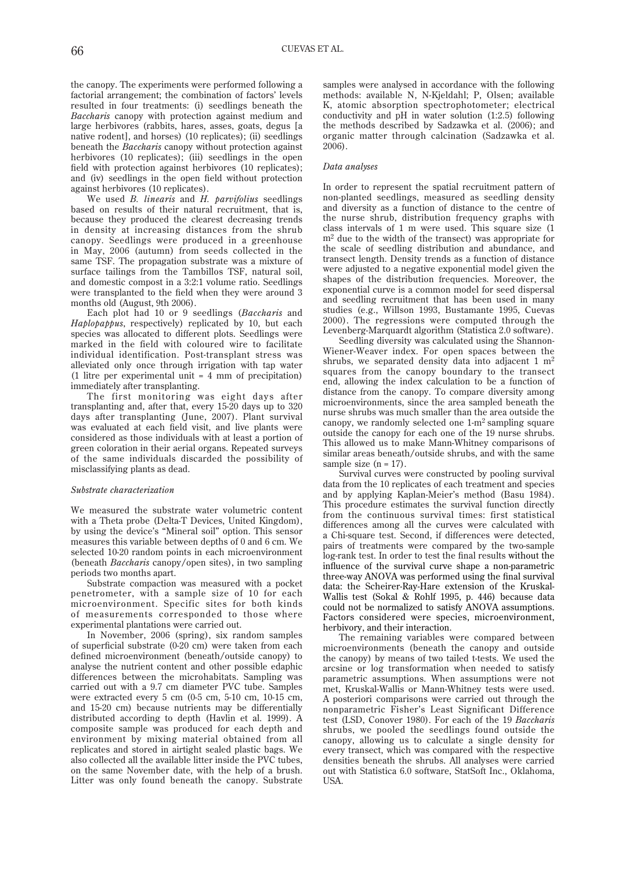the canopy. The experiments were performed following a factorial arrangement; the combination of factors' levels resulted in four treatments: (i) seedlings beneath the *Baccharis* canopy with protection against medium and large herbivores (rabbits, hares, asses, goats, degus [a native rodent], and horses) (10 replicates); (ii) seedlings beneath the *Baccharis* canopy without protection against herbivores (10 replicates); (iii) seedlings in the open field with protection against herbivores (10 replicates); and (iv) seedlings in the open field without protection against herbivores (10 replicates).

We used *B. linearis* and *H. parvifolius* seedlings based on results of their natural recruitment, that is, because they produced the clearest decreasing trends in density at increasing distances from the shrub canopy. Seedlings were produced in a greenhouse in May, 2006 (autumn) from seeds collected in the same TSF. The propagation substrate was a mixture of surface tailings from the Tambillos TSF, natural soil, and domestic compost in a 3:2:1 volume ratio. Seedlings were transplanted to the field when they were around 3 months old (August, 9th 2006).

Each plot had 10 or 9 seedlings (*Baccharis* and *Haplopappus*, respectively) replicated by 10, but each species was allocated to different plots. Seedlings were marked in the field with coloured wire to facilitate individual identification. Post-transplant stress was alleviated only once through irrigation with tap water (1 litre per experimental unit = 4 mm of precipitation) immediately after transplanting.

The first monitoring was eight days after transplanting and, after that, every 15-20 days up to 320 days after transplanting (June, 2007). Plant survival was evaluated at each field visit, and live plants were considered as those individuals with at least a portion of green coloration in their aerial organs. Repeated surveys of the same individuals discarded the possibility of misclassifying plants as dead.

#### *Substrate characterization*

We measured the substrate water volumetric content with a Theta probe (Delta-T Devices, United Kingdom), by using the device's "Mineral soil" option. This sensor measures this variable between depths of 0 and 6 cm. We selected 10-20 random points in each microenvironment (beneath *Baccharis* canopy/open sites), in two sampling periods two months apart.

Substrate compaction was measured with a pocket penetrometer, with a sample size of 10 for each microenvironment. Specific sites for both kinds of measurements corresponded to those where experimental plantations were carried out.

In November, 2006 (spring), six random samples of superficial substrate (0-20 cm) were taken from each defined microenvironment (beneath/outside canopy) to analyse the nutrient content and other possible edaphic differences between the microhabitats. Sampling was carried out with a 9.7 cm diameter PVC tube. Samples were extracted every 5 cm (0-5 cm, 5-10 cm, 10-15 cm, and 15-20 cm) because nutrients may be differentially distributed according to depth (Havlin et al. 1999). A composite sample was produced for each depth and environment by mixing material obtained from all replicates and stored in airtight sealed plastic bags. We also collected all the available litter inside the PVC tubes, on the same November date, with the help of a brush. Litter was only found beneath the canopy. Substrate samples were analysed in accordance with the following methods: available N, N-Kjeldahl; P, Olsen; available K, atomic absorption spectrophotometer; electrical conductivity and pH in water solution (1:2.5) following the methods described by Sadzawka et al. (2006); and organic matter through calcination (Sadzawka et al. 2006).

#### *Data analyses*

In order to represent the spatial recruitment pattern of non-planted seedlings, measured as seedling density and diversity as a function of distance to the centre of the nurse shrub, distribution frequency graphs with class intervals of 1 m were used. This square size (1 m2 due to the width of the transect) was appropriate for the scale of seedling distribution and abundance, and transect length. Density trends as a function of distance were adjusted to a negative exponential model given the shapes of the distribution frequencies. Moreover, the exponential curve is a common model for seed dispersal and seedling recruitment that has been used in many studies (e.g., Willson 1993, Bustamante 1995, Cuevas 2000). The regressions were computed through the Levenberg-Marquardt algorithm (Statistica 2.0 software).

Seedling diversity was calculated using the Shannon-Wiener-Weaver index. For open spaces between the shrubs, we separated density data into adjacent 1 m<sup>2</sup> squares from the canopy boundary to the transect end, allowing the index calculation to be a function of distance from the canopy. To compare diversity among microenvironments, since the area sampled beneath the nurse shrubs was much smaller than the area outside the canopy, we randomly selected one 1-m2 sampling square outside the canopy for each one of the 19 nurse shrubs. This allowed us to make Mann-Whitney comparisons of similar areas beneath/outside shrubs, and with the same sample size  $(n = 17)$ .

Survival curves were constructed by pooling survival data from the 10 replicates of each treatment and species and by applying Kaplan-Meier's method (Basu 1984). This procedure estimates the survival function directly from the continuous survival times: first statistical differences among all the curves were calculated with a Chi-square test. Second, if differences were detected, pairs of treatments were compared by the two-sample log-rank test. In order to test the final results without the influence of the survival curve shape a non-parametric three-way ANOVA was performed using the final survival data: the Scheirer-Ray-Hare extension of the Kruskal-Wallis test (Sokal & Rohlf 1995, p. 446) because data could not be normalized to satisfy ANOVA assumptions. Factors considered were species, microenvironment, herbivory, and their interaction.

The remaining variables were compared between microenvironments (beneath the canopy and outside the canopy) by means of two tailed t-tests. We used the arcsine or log transformation when needed to satisfy parametric assumptions. When assumptions were not met, Kruskal-Wallis or Mann-Whitney tests were used. A posteriori comparisons were carried out through the nonparametric Fisher's Least Significant Difference test (LSD, Conover 1980). For each of the 19 *Baccharis* shrubs, we pooled the seedlings found outside the canopy, allowing us to calculate a single density for every transect, which was compared with the respective densities beneath the shrubs. All analyses were carried out with Statistica 6.0 software, StatSoft Inc., Oklahoma, USA.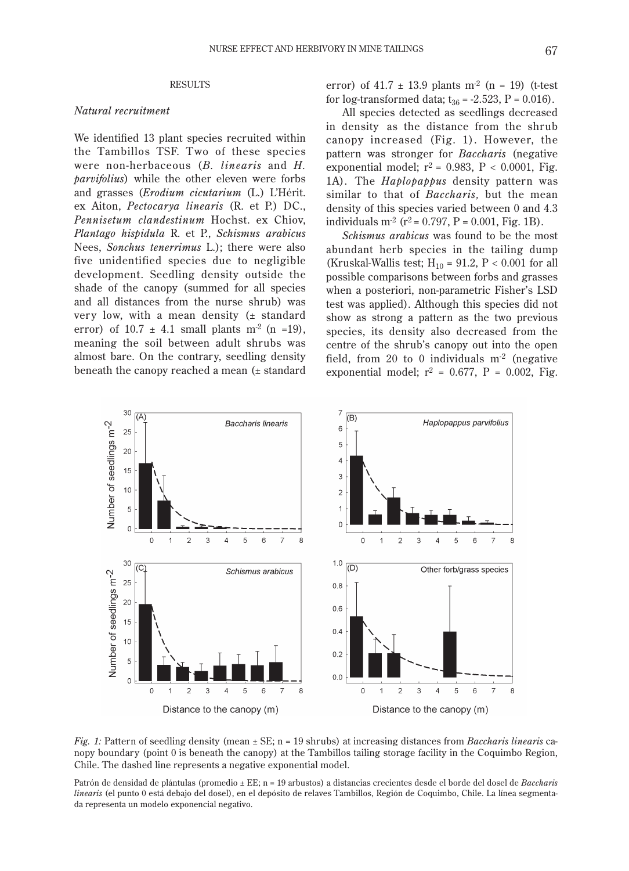### **RESULTS**

### *Natural recruitment*

We identified 13 plant species recruited within the Tambillos TSF. Two of these species were non-herbaceous (*B. linearis* and *H. parvifolius*) while the other eleven were forbs and grasses (*Erodium cicutarium* (L.) L'Hérit. ex Aiton, *Pectocarya linearis* (R. et P.) DC., *Pennisetum clandestinum* Hochst. ex Chiov, *Plantago hispidula* R. et P., *Schismus arabicus* Nees, *Sonchus tenerrimus* L.); there were also five unidentified species due to negligible development. Seedling density outside the shade of the canopy (summed for all species and all distances from the nurse shrub) was very low, with a mean density  $(\pm$  standard error) of  $10.7 \pm 4.1$  small plants m<sup>-2</sup> (n =19), meaning the soil between adult shrubs was almost bare. On the contrary, seedling density beneath the canopy reached a mean (± standard error) of  $41.7 \pm 13.9$  plants m<sup>-2</sup> (n = 19) (t-test for log-transformed data;  $t_{36} = -2.523$ ,  $P = 0.016$ .

All species detected as seedlings decreased in density as the distance from the shrub canopy increased (Fig. 1). However, the pattern was stronger for *Baccharis* (negative exponential model;  $r^2 = 0.983$ ,  $P < 0.0001$ , Fig. 1A). The *Haplopappus* density pattern was similar to that of *Baccharis,* but the mean density of this species varied between 0 and 4.3 individuals m<sup>-2</sup> ( $r^2$  = 0.797, P = 0.001, Fig. 1B).

*Schismus arabicus* was found to be the most abundant herb species in the tailing dump (Kruskal-Wallis test;  $H_{10} = 91.2$ ,  $P < 0.001$  for all possible comparisons between forbs and grasses when a posteriori, non-parametric Fisher's LSD test was applied). Although this species did not show as strong a pattern as the two previous species, its density also decreased from the centre of the shrub's canopy out into the open field, from 20 to 0 individuals m-2 (negative exponential model;  $r^2 = 0.677$ ,  $P = 0.002$ , Fig.



*Fig. 1:* Pattern of seedling density (mean ± SE; n = 19 shrubs) at increasing distances from *Baccharis linearis* canopy boundary (point 0 is beneath the canopy) at the Tambillos tailing storage facility in the Coquimbo Region, Chile. The dashed line represents a negative exponential model.

Patrón de densidad de plántulas (promedio ± EE; n = 19 arbustos) a distancias crecientes desde el borde del dosel de *Baccharis linearis* (el punto 0 está debajo del dosel), en el depósito de relaves Tambillos, Región de Coquimbo, Chile. La línea segmentada representa un modelo exponencial negativo.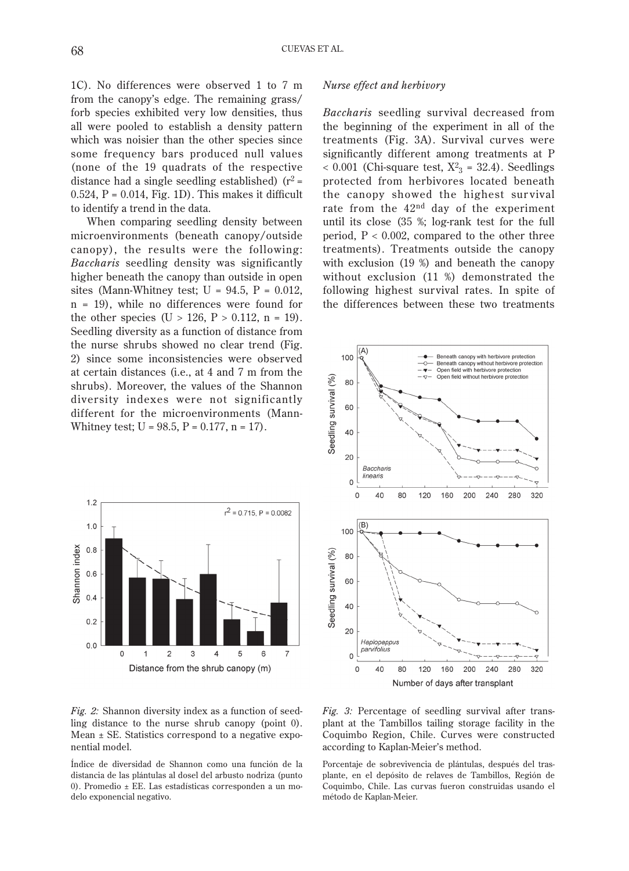1C). No differences were observed 1 to 7 m from the canopy's edge. The remaining grass/ forb species exhibited very low densities, thus all were pooled to establish a density pattern which was noisier than the other species since some frequency bars produced null values (none of the 19 quadrats of the respective distance had a single seedling established) ( $r^2$  =  $0.524$ ,  $P = 0.014$ , Fig. 1D). This makes it difficult to identify a trend in the data.

When comparing seedling density between microenvironments (beneath canopy/outside canopy), the results were the following: *Baccharis* seedling density was significantly higher beneath the canopy than outside in open sites (Mann-Whitney test;  $U = 94.5$ ,  $P = 0.012$ , n = 19), while no differences were found for the other species  $(U > 126, P > 0.112, n = 19)$ . Seedling diversity as a function of distance from the nurse shrubs showed no clear trend (Fig. 2) since some inconsistencies were observed at certain distances (i.e., at 4 and 7 m from the shrubs). Moreover, the values of the Shannon diversity indexes were not significantly different for the microenvironments (Mann-Whitney test;  $U = 98.5$ ,  $P = 0.177$ ,  $n = 17$ .



*Fig. 2:* Shannon diversity index as a function of seedling distance to the nurse shrub canopy (point 0). Mean  $\pm$  SE. Statistics correspond to a negative exponential model.

Índice de diversidad de Shannon como una función de la distancia de las plántulas al dosel del arbusto nodriza (punto 0). Promedio ± EE. Las estadísticas corresponden a un modelo exponencial negativo.

# *Nurse effect and herbivory*

*Baccharis* seedling survival decreased from the beginning of the experiment in all of the treatments (Fig. 3A). Sur vival cur ves were significantly different among treatments at P  $< 0.001$  (Chi-square test,  $X^2$ <sub>3</sub> = 32.4). Seedlings protected from herbivores located beneath the canopy showed the highest sur vival rate from the  $42<sup>nd</sup>$  day of the experiment until its close (35 %; log-rank test for the full period,  $P < 0.002$ , compared to the other three treatments). Treatments outside the canopy with exclusion (19 %) and beneath the canopy without exclusion (11 %) demonstrated the following highest survival rates. In spite of the differences between these two treatments



*Fig. 3:* Percentage of seedling survival after transplant at the Tambillos tailing storage facility in the Coquimbo Region, Chile. Curves were constructed according to Kaplan-Meier's method.

Porcentaje de sobrevivencia de plántulas, después del trasplante, en el depósito de relaves de Tambillos, Región de Coquimbo, Chile. Las curvas fueron construidas usando el método de Kaplan-Meier.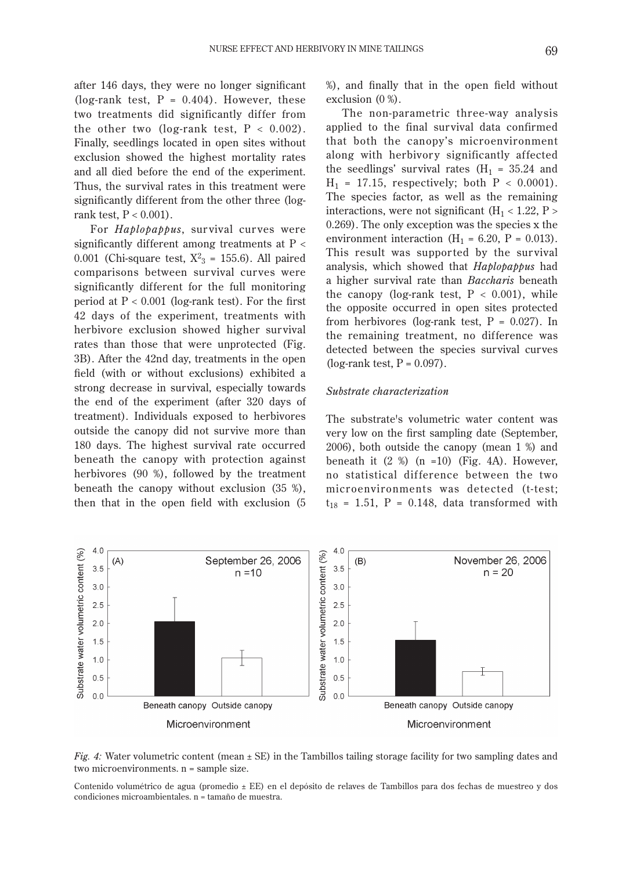after 146 days, they were no longer significant (log-rank test,  $P = 0.404$ ). However, these two treatments did significantly differ from the other two (log-rank test,  $P < 0.002$ ). Finally, seedlings located in open sites without exclusion showed the highest mortality rates and all died before the end of the experiment. Thus, the survival rates in this treatment were significantly different from the other three (logrank test,  $P < 0.001$ .

For *Haplopappus*, survival curves were significantly different among treatments at  $P \leq$ 0.001 (Chi-square test,  $X^2$ <sub>3</sub> = 155.6). All paired comparisons between sur vival cur ves were significantly different for the full monitoring period at  $P < 0.001$  (log-rank test). For the first 42 days of the experiment, treatments with herbivore exclusion showed higher survival rates than those that were unprotected (Fig. 3B). After the 42nd day, treatments in the open field (with or without exclusions) exhibited a strong decrease in survival, especially towards the end of the experiment (after 320 days of treatment). Individuals exposed to herbivores outside the canopy did not survive more than 180 days. The highest survival rate occurred beneath the canopy with protection against herbivores (90 %), followed by the treatment beneath the canopy without exclusion (35 %), then that in the open field with exclusion (5)

%), and finally that in the open field without exclusion (0 %).

The non-parametric three-way analysis applied to the final survival data confirmed that both the canopy's microenvironment along with herbivory significantly affected the seedlings' survival rates  $(H_1 = 35.24$  and  $H_1$  = 17.15, respectively; both  $P < 0.0001$ ). The species factor, as well as the remaining interactions, were not significant  $(H_1 < 1.22, P >$ 0.269). The only exception was the species x the environment interaction  $(H_1 = 6.20, P = 0.013)$ . This result was supported by the survival analysis, which showed that *Haplopappus* had a higher survival rate than *Baccharis* beneath the canopy (log-rank test,  $P < 0.001$ ), while the opposite occurred in open sites protected from herbivores (log-rank test,  $P = 0.027$ ). In the remaining treatment, no difference was detected between the species survival curves (log-rank test,  $P = 0.097$ ).

### *Substrate characterization*

The substrate's volumetric water content was very low on the first sampling date (September, 2006), both outside the canopy (mean 1 %) and beneath it  $(2 \%)$   $(n =10)$  (Fig. 4A). However, no statistical difference between the two microenvironments was detected (t-test;  $t_{18}$  = 1.51, P = 0.148, data transformed with



*Fig. 4:* Water volumetric content (mean  $\pm$  SE) in the Tambillos tailing storage facility for two sampling dates and two microenvironments. n = sample size.

Contenido volumétrico de agua (promedio ± EE) en el depósito de relaves de Tambillos para dos fechas de muestreo y dos condiciones microambientales. n = tamaño de muestra.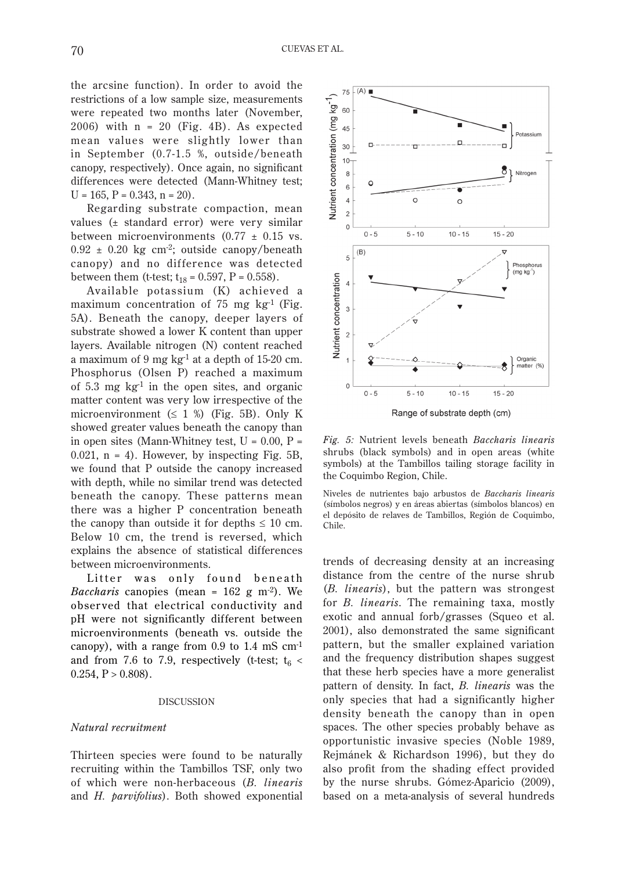the arcsine function). In order to avoid the restrictions of a low sample size, measurements were repeated two months later (November, 2006) with  $n = 20$  (Fig. 4B). As expected mean values were slightly lower than in September (0.7-1.5 %, outside/beneath canopy, respectively). Once again, no significant differences were detected (Mann-Whitney test;  $U = 165$ ,  $P = 0.343$ ,  $n = 20$ .

Regarding substrate compaction, mean values (± standard error) were very similar between microenvironments  $(0.77 \pm 0.15 \text{ vs.}$  $0.92 \pm 0.20$  kg cm<sup>-2</sup>; outside canopy/beneath canopy) and no difference was detected between them (t-test;  $t_{18} = 0.597$ ,  $P = 0.558$ ).

Available potassium (K) achieved a maximum concentration of 75 mg  $kg<sup>-1</sup>$  (Fig. 5A). Beneath the canopy, deeper layers of substrate showed a lower K content than upper layers. Available nitrogen (N) content reached a maximum of 9 mg  $kg<sup>-1</sup>$  at a depth of 15-20 cm. Phosphorus (Olsen P) reached a maximum of 5.3 mg  $kg<sup>-1</sup>$  in the open sites, and organic matter content was very low irrespective of the microenvironment  $(\leq 1 \%)$  (Fig. 5B). Only K showed greater values beneath the canopy than in open sites (Mann-Whitney test,  $U = 0.00$ ,  $P =$  $0.021$ ,  $n = 4$ ). However, by inspecting Fig. 5B, we found that P outside the canopy increased with depth, while no similar trend was detected beneath the canopy. These patterns mean there was a higher P concentration beneath the canopy than outside it for depths  $\leq 10$  cm. Below 10 cm, the trend is reversed, which explains the absence of statistical differences between microenvironments.

Litter was only found beneath *Baccharis* canopies (mean =  $162 \text{ g m}^2$ ). We obser ved that electrical conductivity and pH were not significantly different between microenvironments (beneath vs. outside the canopy), with a range from  $0.9$  to  $1.4 \text{ mS cm}^{-1}$ and from 7.6 to 7.9, respectively (t-test;  $t_6$  <  $0.254, P > 0.808$ .

### DISCUSSION

### *Natural recruitment*

Thirteen species were found to be naturally recruiting within the Tambillos TSF, only two of which were non-herbaceous (*B. linearis* and *H. parvifolius*). Both showed exponential



*Fig. 5:* Nutrient levels beneath *Baccharis linearis* shrubs (black symbols) and in open areas (white symbols) at the Tambillos tailing storage facility in the Coquimbo Region, Chile.

Niveles de nutrientes bajo arbustos de *Baccharis linearis* (símbolos negros) y en áreas abiertas (símbolos blancos) en el depósito de relaves de Tambillos, Región de Coquimbo, Chile.

trends of decreasing density at an increasing distance from the centre of the nurse shrub (*B. linearis*), but the pattern was strongest for *B. linearis*. The remaining taxa, mostly exotic and annual forb/grasses (Squeo et al. 2001), also demonstrated the same significant pattern, but the smaller explained variation and the frequency distribution shapes suggest that these herb species have a more generalist pattern of density. In fact, *B. linearis* was the only species that had a significantly higher density beneath the canopy than in open spaces. The other species probably behave as opportunistic invasive species (Noble 1989, Rejmánek & Richardson 1996), but they do also profit from the shading effect provided by the nurse shrubs. Gómez-Aparicio (2009), based on a meta-analysis of several hundreds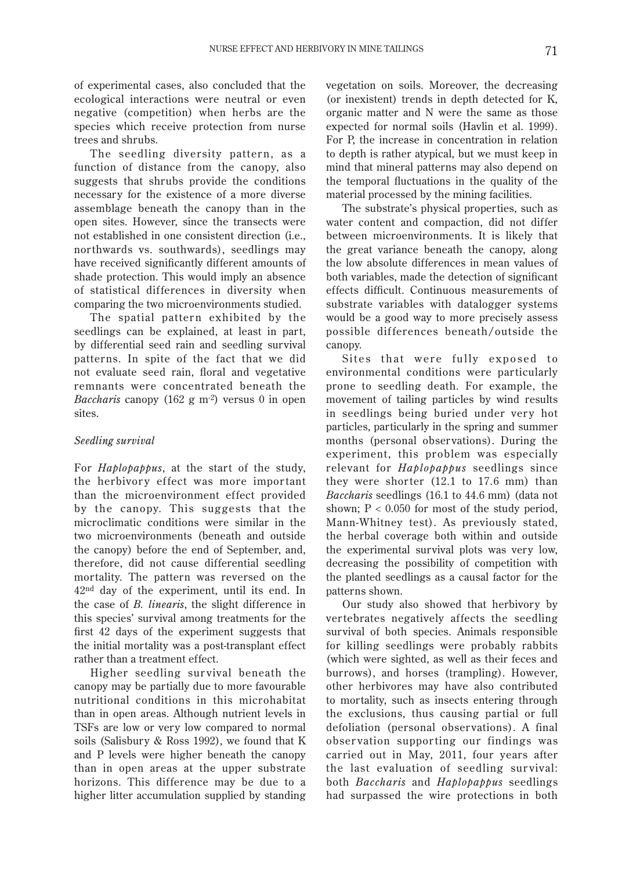of experimental cases, also concluded that the ecological interactions were neutral or even negative (competition) when herbs are the species which receive protection from nurse trees and shrubs.

The seedling diversity pattern, as a function of distance from the canopy, also suggests that shrubs provide the conditions necessary for the existence of a more diverse assemblage beneath the canopy than in the open sites. However, since the transects were not established in one consistent direction (i.e., northwards vs. southwards), seedlings may have received significantly different amounts of shade protection. This would imply an absence of statistical differences in diversity when comparing the two microenvironments studied.

The spatial pattern exhibited by the seedlings can be explained, at least in part, by differential seed rain and seedling survival patterns. In spite of the fact that we did not evaluate seed rain, floral and vegetative remnants were concentrated beneath the *Baccharis* canopy  $(162 \text{ g m}^2)$  versus 0 in open sites.

### *Seedling survival*

For *Haplopappus*, at the start of the study, the herbivory effect was more important than the microenvironment effect provided by the canopy. This suggests that the microclimatic conditions were similar in the two microenvironments (beneath and outside the canopy) before the end of September, and, therefore, did not cause differential seedling mortality. The pattern was reversed on the 42nd day of the experiment, until its end. In the case of *B. linearis*, the slight difference in this species' survival among treatments for the first 42 days of the experiment suggests that the initial mortality was a post-transplant effect rather than a treatment effect.

Higher seedling sur vival beneath the canopy may be partially due to more favourable nutritional conditions in this microhabitat than in open areas. Although nutrient levels in TSFs are low or very low compared to normal soils (Salisbury & Ross 1992), we found that K and P levels were higher beneath the canopy than in open areas at the upper substrate horizons. This difference may be due to a higher litter accumulation supplied by standing vegetation on soils. Moreover, the decreasing (or inexistent) trends in depth detected for K, organic matter and N were the same as those expected for normal soils (Havlin et al. 1999). For P, the increase in concentration in relation to depth is rather atypical, but we must keep in mind that mineral patterns may also depend on the temporal fluctuations in the quality of the material processed by the mining facilities.

The substrate's physical properties, such as water content and compaction, did not differ between microenvironments. It is likely that the great variance beneath the canopy, along the low absolute differences in mean values of both variables, made the detection of significant effects difficult. Continuous measurements of substrate variables with datalogger systems would be a good way to more precisely assess possible differences beneath/outside the canopy.

Sites that were fully exposed to environmental conditions were particularly prone to seedling death. For example, the movement of tailing particles by wind results in seedlings being buried under very hot particles, particularly in the spring and summer months (personal observations). During the experiment, this problem was especially relevant for *Haplopappus* seedlings since they were shorter (12.1 to 17.6 mm) than *Baccharis* seedlings (16.1 to 44.6 mm) (data not shown;  $P < 0.050$  for most of the study period, Mann-Whitney test). As previously stated, the herbal coverage both within and outside the experimental survival plots was very low, decreasing the possibility of competition with the planted seedlings as a causal factor for the patterns shown.

Our study also showed that herbivory by vertebrates negatively affects the seedling survival of both species. Animals responsible for killing seedlings were probably rabbits (which were sighted, as well as their feces and burrows), and horses (trampling). However, other herbivores may have also contributed to mortality, such as insects entering through the exclusions, thus causing partial or full defoliation (personal obser vations). A final observation supporting our findings was carried out in May, 2011, four years after the last evaluation of seedling sur vival: both *Baccharis* and *Haplopappus* seedlings had surpassed the wire protections in both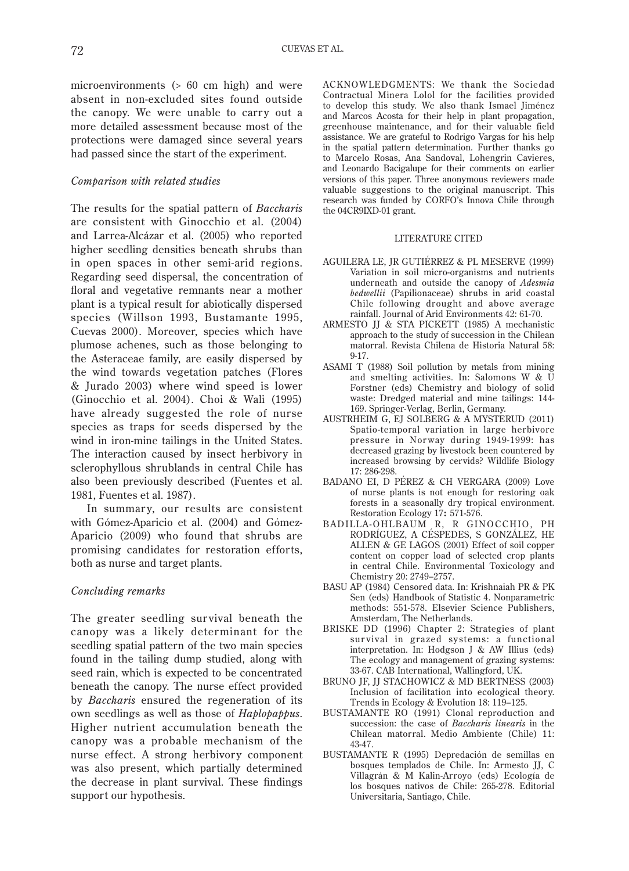microenvironments (> 60 cm high) and were absent in non-excluded sites found outside the canopy. We were unable to carry out a more detailed assessment because most of the protections were damaged since several years had passed since the start of the experiment.

### *Comparison with related studies*

The results for the spatial pattern of *Baccharis* are consistent with Ginocchio et al. (2004) and Larrea-Alcázar et al. (2005) who reported higher seedling densities beneath shrubs than in open spaces in other semi-arid regions. Regarding seed dispersal, the concentration of floral and vegetative remnants near a mother plant is a typical result for abiotically dispersed species (Willson 1993, Bustamante 1995, Cuevas 2000). Moreover, species which have plumose achenes, such as those belonging to the Asteraceae family, are easily dispersed by the wind towards vegetation patches (Flores & Jurado 2003) where wind speed is lower (Ginocchio et al. 2004). Choi & Wali (1995) have already suggested the role of nurse species as traps for seeds dispersed by the wind in iron-mine tailings in the United States. The interaction caused by insect herbivory in sclerophyllous shrublands in central Chile has also been previously described (Fuentes et al. 1981, Fuentes et al. 1987).

In summary, our results are consistent with Gómez-Aparicio et al. (2004) and Gómez-Aparicio (2009) who found that shrubs are promising candidates for restoration efforts, both as nurse and target plants.

### *Concluding remarks*

The greater seedling sur vival beneath the canopy was a likely determinant for the seedling spatial pattern of the two main species found in the tailing dump studied, along with seed rain, which is expected to be concentrated beneath the canopy. The nurse effect provided by *Baccharis* ensured the regeneration of its own seedlings as well as those of *Haplopappus*. Higher nutrient accumulation beneath the canopy was a probable mechanism of the nurse effect. A strong herbivory component was also present, which partially determined the decrease in plant survival. These findings support our hypothesis.

ACKNOWLEDGMENTS: We thank the Sociedad Contractual Minera Lolol for the facilities provided to develop this study. We also thank Ismael Jiménez and Marcos Acosta for their help in plant propagation, greenhouse maintenance, and for their valuable field assistance. We are grateful to Rodrigo Vargas for his help in the spatial pattern determination. Further thanks go to Marcelo Rosas, Ana Sandoval, Lohengrin Cavieres, and Leonardo Bacigalupe for their comments on earlier versions of this paper. Three anonymous reviewers made valuable suggestions to the original manuscript. This research was funded by CORFO's Innova Chile through the 04CR9IXD-01 grant.

# LITERATURE CITED

- AGUILERA LE, JR GUTIÉRREZ & PL MESERVE (1999) Variation in soil micro-organisms and nutrients underneath and outside the canopy of *Adesmia bedwellii* (Papilionaceae) shrubs in arid coastal Chile following drought and above average rainfall. Journal of Arid Environments 42: 61-70.
- ARMESTO JJ & STA PICKETT (1985) A mechanistic approach to the study of succession in the Chilean matorral. Revista Chilena de Historia Natural 58: 9-17.
- ASAMI T (1988) Soil pollution by metals from mining and smelting activities. In: Salomons W & U Forstner (eds) Chemistry and biology of solid waste: Dredged material and mine tailings: 144- 169. Springer-Verlag, Berlin, Germany.
- AUSTRHEIM G, EJ SOLBERG & A MYSTERUD (2011) Spatio-temporal variation in large herbivore pressure in Nor way during 1949-1999: has decreased grazing by livestock been countered by increased browsing by cervids? Wildlife Biology 17: 286-298.
- BADANO EI, D PÉREZ & CH VERGARA (2009) Love of nurse plants is not enough for restoring oak forests in a seasonally dry tropical environment. Restoration Ecology 17**:** 571-576.
- BADILLA-OHLBAUM R, R GINOCCHIO, PH RODRÍGUEZ, A CÉSPEDES, S GONZÁLEZ, HE ALLEN & GE LAGOS (2001) Effect of soil copper content on copper load of selected crop plants in central Chile. Environmental Toxicology and Chemistry 20: 2749–2757.
- BASU AP (1984) Censored data. In: Krishnaiah PR & PK Sen (eds) Handbook of Statistic 4. Nonparametric methods: 551-578. Elsevier Science Publishers, Amsterdam, The Netherlands.
- BRISKE DD (1996) Chapter 2: Strategies of plant sur vival in grazed systems: a functional interpretation. In: Hodgson J & AW Illius (eds) The ecology and management of grazing systems: 33-67. CAB International, Wallingford, UK.
- BRUNO JF, JJ STACHOWICZ & MD BERTNESS (2003) Inclusion of facilitation into ecological theory. Trends in Ecology & Evolution 18: 119–125.
- BUSTAMANTE RO (1991) Clonal reproduction and succession: the case of *Baccharis linearis* in the Chilean matorral. Medio Ambiente (Chile) 11: 43-47.
- BUSTAMANTE R (1995) Depredación de semillas en bosques templados de Chile. In: Armesto JJ, C Villagrán & M Kalin-Arroyo (eds) Ecología de los bosques nativos de Chile: 265-278. Editorial Universitaria, Santiago, Chile.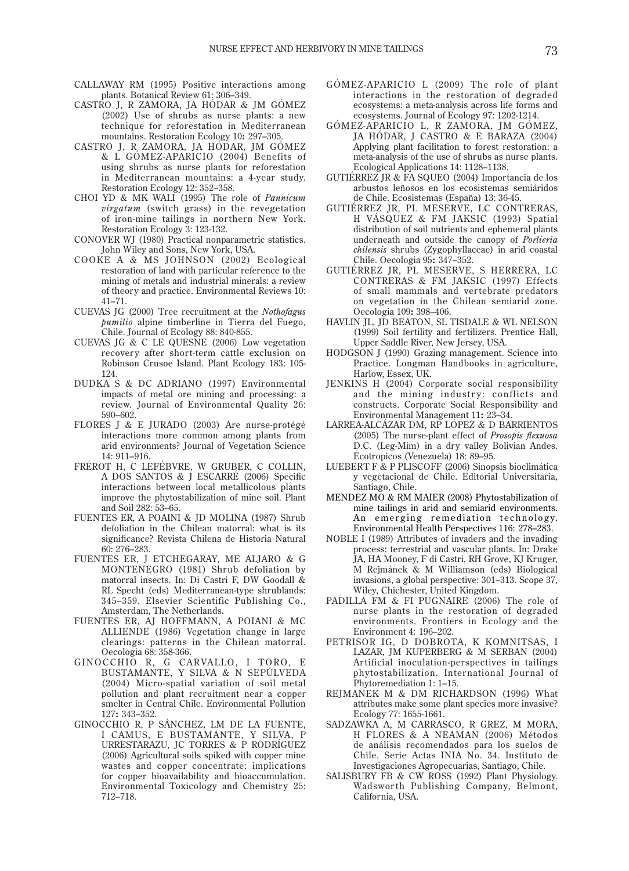CALLAWAY RM (1995) Positive interactions among plants. Botanical Review 61: 306–349.

- CASTRO J, R ZAMORA, JA HÓDAR & JM GÓMEZ (2002) Use of shrubs as nurse plants: a new technique for reforestation in Mediterranean mountains. Restoration Ecology 10**:** 297–305.
- CASTRO J, R ZAMORA, JA HÓDAR, JM GÓMEZ & L GÓMEZ-APARICIO (2004) Benefits of using shrubs as nurse plants for reforestation in Mediterranean mountains: a 4-year study. Restoration Ecology 12: 352–358.
- CHOI YD & MK WALI (1995) The role of *Pannicum virgatum* (switch grass) in the revegetation of iron-mine tailings in northern New York. Restoration Ecology 3: 123-132.
- CONOVER WJ (1980) Practical nonparametric statistics. John Wiley and Sons, New York, USA.
- COOKE A & MS JOHNSON (2002) Ecological restoration of land with particular reference to the mining of metals and industrial minerals: a review of theory and practice. Environmental Reviews 10: 41–71.
- CUEVAS JG (2000) Tree recruitment at the *Nothofagus pumilio* alpine timberline in Tierra del Fuego, Chile. Journal of Ecology 88: 840-855.
- CUEVAS JG & C LE QUESNE (2006) Low vegetation recovery after short-term cattle exclusion on Robinson Crusoe Island. Plant Ecology 183: 105- 124.
- DUDKA S & DC ADRIANO (1997) Environmental impacts of metal ore mining and processing: a review. Journal of Environmental Quality 26: 590–602.
- FLORES J & E JURADO (2003) Are nurse-protégé interactions more common among plants from arid environments? Journal of Vegetation Science 14: 911–916.
- FRÉROT H, C LEFÉBVRE, W GRUBER, C COLLIN, A DOS SANTOS & J ESCARRÉ (2006) Specific interactions between local metallicolous plants improve the phytostabilization of mine soil. Plant and Soil 282: 53–65.
- FUENTES ER, A POAINI & JD MOLINA (1987) Shrub defoliation in the Chilean matorral: what is its significance? Revista Chilena de Historia Natural 60: 276–283.
- FUENTES ER, J ETCHEGARAY, ME ALJARO & G MONTENEGRO (1981) Shrub defoliation by matorral insects. In: Di Castri F, DW Goodall & RL Specht (eds) Mediterranean-type shrublands: 345–359. Elsevier Scientific Publishing Co., Amsterdam, The Netherlands.
- FUENTES ER, AJ HOFFMANN, A POIANI & MC ALLIENDE (1986) Vegetation change in large clearings: patterns in the Chilean matorral. Oecologia 68: 358-366.
- GINOCCHIO R, G CARVALLO, I TORO, E BUSTAMANTE, Y SILVA & N SEPÚLVEDA (2004) Micro-spatial variation of soil metal pollution and plant recruitment near a copper smelter in Central Chile. Environmental Pollution 127**:** 343–352.
- GINOCCHIO R, P SÁNCHEZ, LM DE LA FUENTE, I CAMUS, E BUSTAMANTE, Y SILVA, P URRESTARAZU, JC TORRES & P RODRÍGUEZ (2006) Agricultural soils spiked with copper mine wastes and copper concentrate: implications for copper bioavailability and bioaccumulation. Environmental Toxicology and Chemistry 25: 712–718.
- GÓMEZ-APARICIO L (2009) The role of plant interactions in the restoration of degraded ecosystems: a meta-analysis across life forms and ecosystems. Journal of Ecology 97: 1202-1214.
- GÓMEZ-APARICIO L, R ZAMORA, JM GÓMEZ, JA HÓDAR, J CASTRO & E BARAZA (2004) Applying plant facilitation to forest restoration: a meta-analysis of the use of shrubs as nurse plants. Ecological Applications 14: 1128–1138.
- GUTIÉRREZ JR & FA SQUEO (2004) Importancia de los arbustos leñosos en los ecosistemas semiáridos de Chile. Ecosistemas (España) 13: 36-45.
- GUTIÉRREZ JR, PL MESERVE, LC CONTRERAS, H VÁSQUEZ & FM JAKSIC (1993) Spatial distribution of soil nutrients and ephemeral plants underneath and outside the canopy of *Porlieria chilensis* shrubs (Zygophyllaceae) in arid coastal Chile. Oecologia 95**:** 347–352.
- GUTIÉRREZ JR, PL MESERVE, S HERRERA, LC CONTRERAS & FM JAKSIC (1997) Effects of small mammals and ver tebrate predators on vegetation in the Chilean semiarid zone. Oecologia 109**:** 398–406.
- HAVLIN JL, JD BEATON, SL TISDALE & WL NELSON (1999) Soil fertility and fertilizers. Prentice Hall, Upper Saddle River, New Jersey, USA.
- HODGSON J (1990) Grazing management. Science into Practice. Longman Handbooks in agriculture, Harlow, Essex, UK.
- JENKINS H (2004) Corporate social responsibility and the mining industry: conflicts and constructs. Corporate Social Responsibility and Environmental Management 11**:** 23–34.
- LARREA-ALCÁZAR DM, RP LÓPEZ & D BARRIENTOS (2005) The nurse-plant effect of *Prosopis flexuosa* D.C. (Leg-Mim) in a dry valley Bolivian Andes. Ecotropicos (Venezuela) 18: 89–95.
- LUEBERT F & P PLISCOFF (2006) Sinopsis bioclimática y vegetacional de Chile. Editorial Universitaria, Santiago, Chile.
- MENDEZ MO & RM MAIER (2008) Phytostabilization of mine tailings in arid and semiarid environments. An emerging remediation technology. Environmental Health Perspectives 116: 278–283.
- NOBLE I (1989) Attributes of invaders and the invading process: terrestrial and vascular plants. In: Drake JA, HA Mooney, F di Castri, RH Grove, KJ Kruger, M Rejmánek & M Williamson (eds) Biological invasions, a global perspective: 301–313. Scope 37, Wiley, Chichester, United Kingdom.
- PADILLA FM & FI PUGNAIRE (2006) The role of nurse plants in the restoration of degraded environments. Frontiers in Ecology and the Environment 4: 196–202.
- PETRISOR IG, D DOBROTA, K KOMNITSAS, I LAZAR, JM KUPERBERG & M SERBAN (2004) Ar tificial inoculation-perspectives in tailings phytostabilization. Inter national Jour nal of Phytoremediation 1: 1–15.
- REJMANEK M & DM RICHARDSON (1996) What attributes make some plant species more invasive? Ecology 77: 1655-1661.
- SADZAWKA A, M CARRASCO, R GREZ, M MORA, H FLORES & A NEAMAN (2006) Métodos de análisis recomendados para los suelos de Chile. Serie Actas INIA No. 34. Instituto de Investigaciones Agropecuarias, Santiago, Chile.
- SALISBURY FB & CW ROSS (1992) Plant Physiology. Wadswor th Publishing Company, Belmont, California, USA.